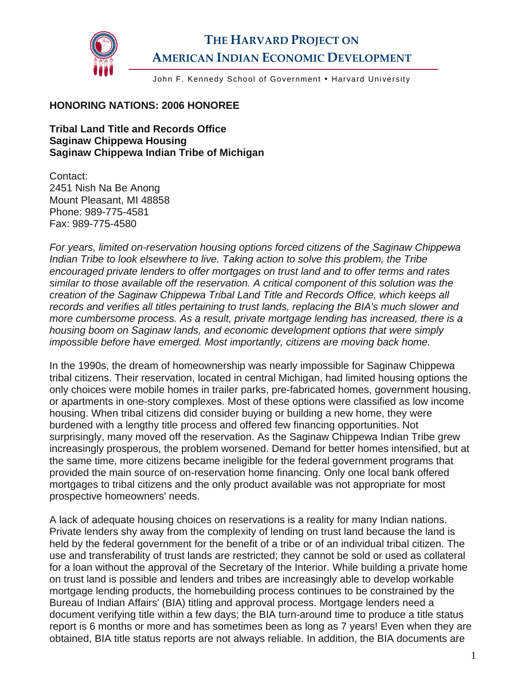

## **THE HARVARD PROJECT ON AMERICAN INDIAN ECONOMIC DEVELOPMENT**

John F. Kennedy School of Government . Harvard University

## **HONORING NATIONS: 2006 HONOREE**

**Tribal Land Title and Records Office Saginaw Chippewa Housing Saginaw Chippewa Indian Tribe of Michigan** 

Contact: 2451 Nish Na Be Anong Mount Pleasant, MI 48858 Phone: 989-775-4581 Fax: 989-775-4580

*For years, limited on-reservation housing options forced citizens of the Saginaw Chippewa Indian Tribe to look elsewhere to live. Taking action to solve this problem, the Tribe encouraged private lenders to offer mortgages on trust land and to offer terms and rates similar to those available off the reservation. A critical component of this solution was the creation of the Saginaw Chippewa Tribal Land Title and Records Office, which keeps all records and verifies all titles pertaining to trust lands, replacing the BIA's much slower and more cumbersome process. As a result, private mortgage lending has increased, there is a housing boom on Saginaw lands, and economic development options that were simply impossible before have emerged. Most importantly, citizens are moving back home.* 

In the 1990s, the dream of homeownership was nearly impossible for Saginaw Chippewa tribal citizens. Their reservation, located in central Michigan, had limited housing options the only choices were mobile homes in trailer parks, pre-fabricated homes, government housing, or apartments in one-story complexes. Most of these options were classified as low income housing. When tribal citizens did consider buying or building a new home, they were burdened with a lengthy title process and offered few financing opportunities. Not surprisingly, many moved off the reservation. As the Saginaw Chippewa Indian Tribe grew increasingly prosperous, the problem worsened. Demand for better homes intensified, but at the same time, more citizens became ineligible for the federal government programs that provided the main source of on-reservation home financing. Only one local bank offered mortgages to tribal citizens and the only product available was not appropriate for most prospective homeowners' needs.

A lack of adequate housing choices on reservations is a reality for many Indian nations. Private lenders shy away from the complexity of lending on trust land because the land is held by the federal government for the benefit of a tribe or of an individual tribal citizen. The use and transferability of trust lands are restricted; they cannot be sold or used as collateral for a loan without the approval of the Secretary of the Interior. While building a private home on trust land is possible and lenders and tribes are increasingly able to develop workable mortgage lending products, the homebuilding process continues to be constrained by the Bureau of Indian Affairs' (BIA) titling and approval process. Mortgage lenders need a document verifying title within a few days; the BIA turn-around time to produce a title status report is 6 months or more and has sometimes been as long as 7 years! Even when they are obtained, BIA title status reports are not always reliable. In addition, the BIA documents are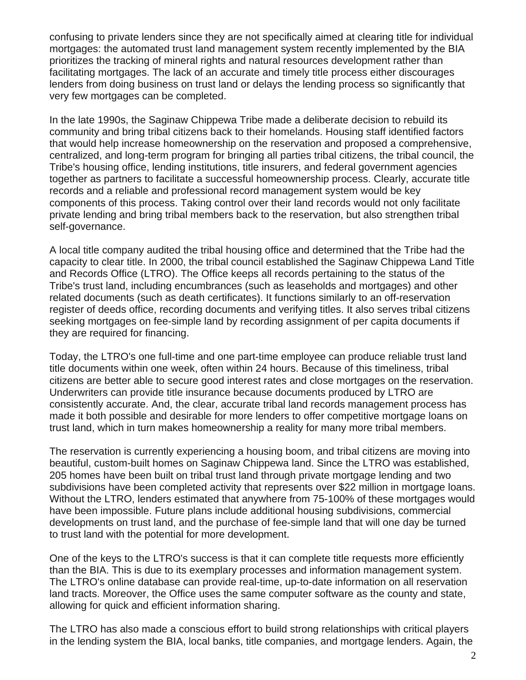confusing to private lenders since they are not specifically aimed at clearing title for individual mortgages: the automated trust land management system recently implemented by the BIA prioritizes the tracking of mineral rights and natural resources development rather than facilitating mortgages. The lack of an accurate and timely title process either discourages lenders from doing business on trust land or delays the lending process so significantly that very few mortgages can be completed.

In the late 1990s, the Saginaw Chippewa Tribe made a deliberate decision to rebuild its community and bring tribal citizens back to their homelands. Housing staff identified factors that would help increase homeownership on the reservation and proposed a comprehensive, centralized, and long-term program for bringing all parties tribal citizens, the tribal council, the Tribe's housing office, lending institutions, title insurers, and federal government agencies together as partners to facilitate a successful homeownership process. Clearly, accurate title records and a reliable and professional record management system would be key components of this process. Taking control over their land records would not only facilitate private lending and bring tribal members back to the reservation, but also strengthen tribal self-governance.

A local title company audited the tribal housing office and determined that the Tribe had the capacity to clear title. In 2000, the tribal council established the Saginaw Chippewa Land Title and Records Office (LTRO). The Office keeps all records pertaining to the status of the Tribe's trust land, including encumbrances (such as leaseholds and mortgages) and other related documents (such as death certificates). It functions similarly to an off-reservation register of deeds office, recording documents and verifying titles. It also serves tribal citizens seeking mortgages on fee-simple land by recording assignment of per capita documents if they are required for financing.

Today, the LTRO's one full-time and one part-time employee can produce reliable trust land title documents within one week, often within 24 hours. Because of this timeliness, tribal citizens are better able to secure good interest rates and close mortgages on the reservation. Underwriters can provide title insurance because documents produced by LTRO are consistently accurate. And, the clear, accurate tribal land records management process has made it both possible and desirable for more lenders to offer competitive mortgage loans on trust land, which in turn makes homeownership a reality for many more tribal members.

The reservation is currently experiencing a housing boom, and tribal citizens are moving into beautiful, custom-built homes on Saginaw Chippewa land. Since the LTRO was established, 205 homes have been built on tribal trust land through private mortgage lending and two subdivisions have been completed activity that represents over \$22 million in mortgage loans. Without the LTRO, lenders estimated that anywhere from 75-100% of these mortgages would have been impossible. Future plans include additional housing subdivisions, commercial developments on trust land, and the purchase of fee-simple land that will one day be turned to trust land with the potential for more development.

One of the keys to the LTRO's success is that it can complete title requests more efficiently than the BIA. This is due to its exemplary processes and information management system. The LTRO's online database can provide real-time, up-to-date information on all reservation land tracts. Moreover, the Office uses the same computer software as the county and state, allowing for quick and efficient information sharing.

The LTRO has also made a conscious effort to build strong relationships with critical players in the lending system the BIA, local banks, title companies, and mortgage lenders. Again, the